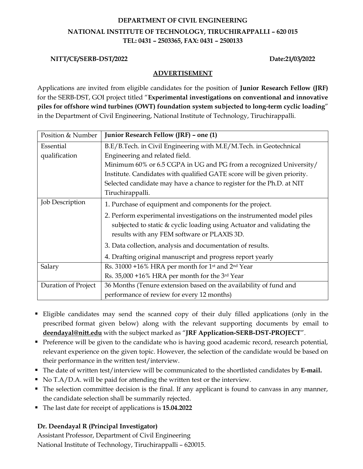# **DEPARTMENT OF CIVIL ENGINEERING NATIONAL INSTITUTE OF TECHNOLOGY, TIRUCHIRAPPALLI – 620 015 TEL: 0431 – 2503365, FAX: 0431 – 2500133**

#### **NITT/CE/SERB-DST/2022 Date:21/03/2022**

### **ADVERTISEMENT**

Applications are invited from eligible candidates for the position of **Junior Research Fellow (JRF)** for the SERB-DST, GOI project titled "**Experimental investigations on conventional and innovative piles for offshore wind turbines (OWT) foundation system subjected to long-term cyclic loading**" in the Department of Civil Engineering, National Institute of Technology, Tiruchirappalli.

| Position & Number      | Junior Research Fellow (JRF) - one (1)                                                                                |  |  |
|------------------------|-----------------------------------------------------------------------------------------------------------------------|--|--|
| Essential              | B.E/B.Tech. in Civil Engineering with M.E/M.Tech. in Geotechnical                                                     |  |  |
| qualification          | Engineering and related field.                                                                                        |  |  |
|                        | Minimum 60% or 6.5 CGPA in UG and PG from a recognized University/                                                    |  |  |
|                        | Institute. Candidates with qualified GATE score will be given priority.                                               |  |  |
|                        | Selected candidate may have a chance to register for the Ph.D. at NIT                                                 |  |  |
|                        | Tiruchirappalli.                                                                                                      |  |  |
| <b>Job Description</b> | 1. Purchase of equipment and components for the project.                                                              |  |  |
|                        | 2. Perform experimental investigations on the instrumented model piles                                                |  |  |
|                        | subjected to static & cyclic loading using Actuator and validating the<br>results with any FEM software or PLAXIS 3D. |  |  |
|                        |                                                                                                                       |  |  |
|                        | 3. Data collection, analysis and documentation of results.                                                            |  |  |
|                        | 4. Drafting original manuscript and progress report yearly                                                            |  |  |
| Salary                 | Rs. 31000 +16% HRA per month for 1 <sup>st</sup> and 2 <sup>nd</sup> Year                                             |  |  |
|                        | Rs. 35,000 +16% HRA per month for the 3rd Year                                                                        |  |  |
| Duration of Project    | 36 Months (Tenure extension based on the availability of fund and                                                     |  |  |
|                        | performance of review for every 12 months)                                                                            |  |  |

- Eligible candidates may send the scanned copy of their duly filled applications (only in the prescribed format given below) along with the relevant supporting documents by email to **deendayal@nitt.edu** with the subject marked as "**JRF Application-SERB-DST-PROJECT**".
- **•** Preference will be given to the candidate who is having good academic record, research potential, relevant experience on the given topic. However, the selection of the candidate would be based on their performance in the written test/interview.
- The date of written test/interview will be communicated to the shortlisted candidates by **E-mail.**
- No T.A/D.A. will be paid for attending the written test or the interview.
- The selection committee decision is the final. If any applicant is found to canvass in any manner, the candidate selection shall be summarily rejected.
- The last date for receipt of applications is **15.04.2022**

## **Dr. Deendayal R (Principal Investigator)**

Assistant Professor, Department of Civil Engineering National Institute of Technology, Tiruchirappalli – 620015.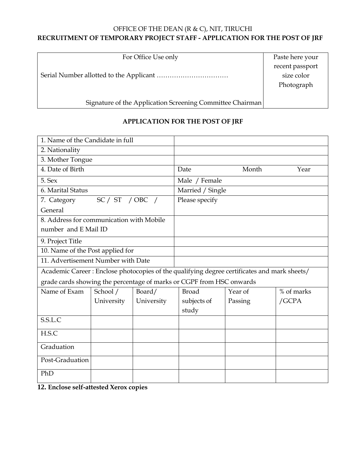## OFFICE OF THE DEAN (R & C), NIT, TIRUCHI **RECRUITMENT OF TEMPORARY PROJECT STAFF - APPLICATION FOR THE POST OF JRF**

For Office Use only

Serial Number allotted to the Applicant ……………………………

Signature of the Application Screening Committee Chairman

## **APPLICATION FOR THE POST OF JRF**

| 1. Name of the Candidate in full                                                            |                                            |                |                  |         |            |  |
|---------------------------------------------------------------------------------------------|--------------------------------------------|----------------|------------------|---------|------------|--|
| 2. Nationality                                                                              |                                            |                |                  |         |            |  |
| 3. Mother Tongue                                                                            |                                            |                |                  |         |            |  |
| 4. Date of Birth                                                                            |                                            |                | Date             | Month   | Year       |  |
| 5. Sex                                                                                      |                                            |                | Male / Female    |         |            |  |
| 6. Marital Status                                                                           |                                            |                | Married / Single |         |            |  |
| SC / ST / OBC /<br>7. Category                                                              |                                            | Please specify |                  |         |            |  |
| General                                                                                     |                                            |                |                  |         |            |  |
| 8. Address for communication with Mobile                                                    |                                            |                |                  |         |            |  |
| number and E Mail ID                                                                        |                                            |                |                  |         |            |  |
| 9. Project Title                                                                            |                                            |                |                  |         |            |  |
| 10. Name of the Post applied for                                                            |                                            |                |                  |         |            |  |
| 11. Advertisement Number with Date                                                          |                                            |                |                  |         |            |  |
| Academic Career: Enclose photocopies of the qualifying degree certificates and mark sheets/ |                                            |                |                  |         |            |  |
| grade cards showing the percentage of marks or CGPF from HSC onwards                        |                                            |                |                  |         |            |  |
| Name of Exam                                                                                | School /                                   | Board/         | <b>Broad</b>     | Year of | % of marks |  |
|                                                                                             | University                                 | University     | subjects of      | Passing | /GCPA      |  |
|                                                                                             |                                            |                | study            |         |            |  |
| S.S.L.C                                                                                     |                                            |                |                  |         |            |  |
| H.S.C                                                                                       |                                            |                |                  |         |            |  |
| Graduation                                                                                  |                                            |                |                  |         |            |  |
| Post-Graduation                                                                             |                                            |                |                  |         |            |  |
| PhD<br>$\mathbf{A}$ $\mathbf{B}$ $\mathbf{A}$                                               | $\mathbf{r} = \mathbf{r} \cdot \mathbf{r}$ |                |                  |         |            |  |

**12. Enclose self-attested Xerox copies**

Paste here your recent passport size color Photograph